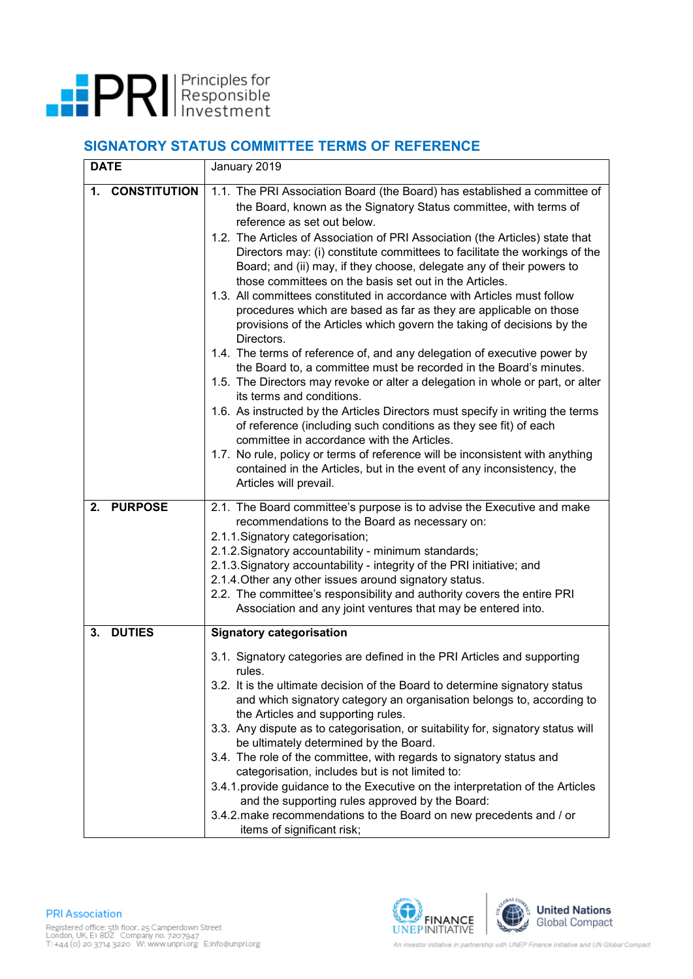

## **SIGNATORY STATUS COMMITTEE TERMS OF REFERENCE**

| <b>DATE</b>               | January 2019                                                                                                                                                                                                                                                                                                                                                                                                                                                                                                                                                                                                                                                                                                                                                                                                                                                                                                                                                                                                                                                                                                                                                                                                                                                                                                                                                                    |
|---------------------------|---------------------------------------------------------------------------------------------------------------------------------------------------------------------------------------------------------------------------------------------------------------------------------------------------------------------------------------------------------------------------------------------------------------------------------------------------------------------------------------------------------------------------------------------------------------------------------------------------------------------------------------------------------------------------------------------------------------------------------------------------------------------------------------------------------------------------------------------------------------------------------------------------------------------------------------------------------------------------------------------------------------------------------------------------------------------------------------------------------------------------------------------------------------------------------------------------------------------------------------------------------------------------------------------------------------------------------------------------------------------------------|
| <b>CONSTITUTION</b><br>1. | 1.1. The PRI Association Board (the Board) has established a committee of<br>the Board, known as the Signatory Status committee, with terms of<br>reference as set out below.<br>1.2. The Articles of Association of PRI Association (the Articles) state that<br>Directors may: (i) constitute committees to facilitate the workings of the<br>Board; and (ii) may, if they choose, delegate any of their powers to<br>those committees on the basis set out in the Articles.<br>1.3. All committees constituted in accordance with Articles must follow<br>procedures which are based as far as they are applicable on those<br>provisions of the Articles which govern the taking of decisions by the<br>Directors.<br>1.4. The terms of reference of, and any delegation of executive power by<br>the Board to, a committee must be recorded in the Board's minutes.<br>1.5. The Directors may revoke or alter a delegation in whole or part, or alter<br>its terms and conditions.<br>1.6. As instructed by the Articles Directors must specify in writing the terms<br>of reference (including such conditions as they see fit) of each<br>committee in accordance with the Articles.<br>1.7. No rule, policy or terms of reference will be inconsistent with anything<br>contained in the Articles, but in the event of any inconsistency, the<br>Articles will prevail. |
| <b>PURPOSE</b><br>2.      | 2.1. The Board committee's purpose is to advise the Executive and make<br>recommendations to the Board as necessary on:<br>2.1.1. Signatory categorisation;<br>2.1.2. Signatory accountability - minimum standards;<br>2.1.3. Signatory accountability - integrity of the PRI initiative; and<br>2.1.4. Other any other issues around signatory status.<br>2.2. The committee's responsibility and authority covers the entire PRI<br>Association and any joint ventures that may be entered into.                                                                                                                                                                                                                                                                                                                                                                                                                                                                                                                                                                                                                                                                                                                                                                                                                                                                              |
| <b>DUTIES</b><br>3.       | <b>Signatory categorisation</b>                                                                                                                                                                                                                                                                                                                                                                                                                                                                                                                                                                                                                                                                                                                                                                                                                                                                                                                                                                                                                                                                                                                                                                                                                                                                                                                                                 |
|                           | 3.1. Signatory categories are defined in the PRI Articles and supporting<br>rules.<br>3.2. It is the ultimate decision of the Board to determine signatory status<br>and which signatory category an organisation belongs to, according to<br>the Articles and supporting rules.<br>3.3. Any dispute as to categorisation, or suitability for, signatory status will<br>be ultimately determined by the Board.<br>3.4. The role of the committee, with regards to signatory status and<br>categorisation, includes but is not limited to:<br>3.4.1 provide guidance to the Executive on the interpretation of the Articles<br>and the supporting rules approved by the Board:<br>3.4.2 make recommendations to the Board on new precedents and / or<br>items of significant risk;                                                                                                                                                                                                                                                                                                                                                                                                                                                                                                                                                                                               |

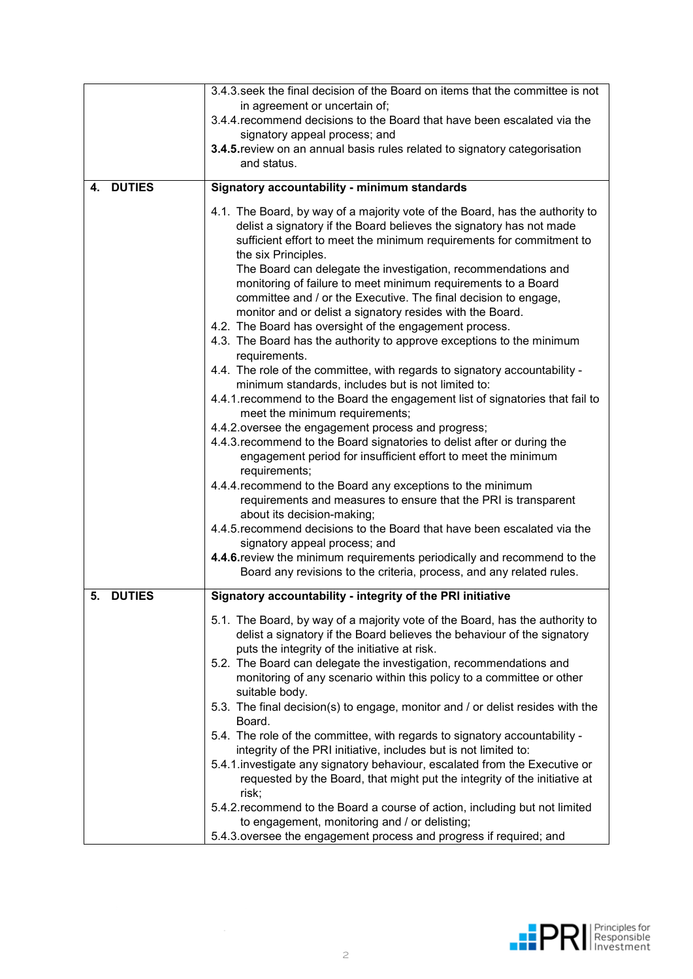|                     | 3.4.3. seek the final decision of the Board on items that the committee is not                                                                                                                                                                                                                                                                                                                                                                                                                                                                                                                                                                                                                                                                                                                                                                                                                                                                                                                                                                                                                                                                                                                                                                                                                                                                                                                                                                                                                                                                                                        |
|---------------------|---------------------------------------------------------------------------------------------------------------------------------------------------------------------------------------------------------------------------------------------------------------------------------------------------------------------------------------------------------------------------------------------------------------------------------------------------------------------------------------------------------------------------------------------------------------------------------------------------------------------------------------------------------------------------------------------------------------------------------------------------------------------------------------------------------------------------------------------------------------------------------------------------------------------------------------------------------------------------------------------------------------------------------------------------------------------------------------------------------------------------------------------------------------------------------------------------------------------------------------------------------------------------------------------------------------------------------------------------------------------------------------------------------------------------------------------------------------------------------------------------------------------------------------------------------------------------------------|
|                     | in agreement or uncertain of;                                                                                                                                                                                                                                                                                                                                                                                                                                                                                                                                                                                                                                                                                                                                                                                                                                                                                                                                                                                                                                                                                                                                                                                                                                                                                                                                                                                                                                                                                                                                                         |
|                     | 3.4.4. recommend decisions to the Board that have been escalated via the                                                                                                                                                                                                                                                                                                                                                                                                                                                                                                                                                                                                                                                                                                                                                                                                                                                                                                                                                                                                                                                                                                                                                                                                                                                                                                                                                                                                                                                                                                              |
|                     | signatory appeal process; and                                                                                                                                                                                                                                                                                                                                                                                                                                                                                                                                                                                                                                                                                                                                                                                                                                                                                                                                                                                                                                                                                                                                                                                                                                                                                                                                                                                                                                                                                                                                                         |
|                     | 3.4.5. review on an annual basis rules related to signatory categorisation                                                                                                                                                                                                                                                                                                                                                                                                                                                                                                                                                                                                                                                                                                                                                                                                                                                                                                                                                                                                                                                                                                                                                                                                                                                                                                                                                                                                                                                                                                            |
|                     | and status.                                                                                                                                                                                                                                                                                                                                                                                                                                                                                                                                                                                                                                                                                                                                                                                                                                                                                                                                                                                                                                                                                                                                                                                                                                                                                                                                                                                                                                                                                                                                                                           |
|                     |                                                                                                                                                                                                                                                                                                                                                                                                                                                                                                                                                                                                                                                                                                                                                                                                                                                                                                                                                                                                                                                                                                                                                                                                                                                                                                                                                                                                                                                                                                                                                                                       |
| <b>DUTIES</b><br>4. | Signatory accountability - minimum standards                                                                                                                                                                                                                                                                                                                                                                                                                                                                                                                                                                                                                                                                                                                                                                                                                                                                                                                                                                                                                                                                                                                                                                                                                                                                                                                                                                                                                                                                                                                                          |
|                     | 4.1. The Board, by way of a majority vote of the Board, has the authority to<br>delist a signatory if the Board believes the signatory has not made<br>sufficient effort to meet the minimum requirements for commitment to<br>the six Principles.<br>The Board can delegate the investigation, recommendations and<br>monitoring of failure to meet minimum requirements to a Board<br>committee and / or the Executive. The final decision to engage,<br>monitor and or delist a signatory resides with the Board.<br>4.2. The Board has oversight of the engagement process.<br>4.3. The Board has the authority to approve exceptions to the minimum<br>requirements.<br>4.4. The role of the committee, with regards to signatory accountability -<br>minimum standards, includes but is not limited to:<br>4.4.1. recommend to the Board the engagement list of signatories that fail to<br>meet the minimum requirements;<br>4.4.2. oversee the engagement process and progress;<br>4.4.3. recommend to the Board signatories to delist after or during the<br>engagement period for insufficient effort to meet the minimum<br>requirements;<br>4.4.4. recommend to the Board any exceptions to the minimum<br>requirements and measures to ensure that the PRI is transparent<br>about its decision-making;<br>4.4.5. recommend decisions to the Board that have been escalated via the<br>signatory appeal process; and<br>4.4.6. review the minimum requirements periodically and recommend to the<br>Board any revisions to the criteria, process, and any related rules. |
| <b>DUTIES</b>       |                                                                                                                                                                                                                                                                                                                                                                                                                                                                                                                                                                                                                                                                                                                                                                                                                                                                                                                                                                                                                                                                                                                                                                                                                                                                                                                                                                                                                                                                                                                                                                                       |
| 5.                  | Signatory accountability - integrity of the PRI initiative                                                                                                                                                                                                                                                                                                                                                                                                                                                                                                                                                                                                                                                                                                                                                                                                                                                                                                                                                                                                                                                                                                                                                                                                                                                                                                                                                                                                                                                                                                                            |
|                     | 5.1. The Board, by way of a majority vote of the Board, has the authority to<br>delist a signatory if the Board believes the behaviour of the signatory<br>puts the integrity of the initiative at risk.<br>5.2. The Board can delegate the investigation, recommendations and<br>monitoring of any scenario within this policy to a committee or other<br>suitable body.<br>5.3. The final decision(s) to engage, monitor and / or delist resides with the<br>Board.<br>5.4. The role of the committee, with regards to signatory accountability -<br>integrity of the PRI initiative, includes but is not limited to:<br>5.4.1. investigate any signatory behaviour, escalated from the Executive or<br>requested by the Board, that might put the integrity of the initiative at<br>risk;<br>5.4.2. recommend to the Board a course of action, including but not limited<br>to engagement, monitoring and / or delisting;                                                                                                                                                                                                                                                                                                                                                                                                                                                                                                                                                                                                                                                          |
|                     | 5.4.3 oversee the engagement process and progress if required; and                                                                                                                                                                                                                                                                                                                                                                                                                                                                                                                                                                                                                                                                                                                                                                                                                                                                                                                                                                                                                                                                                                                                                                                                                                                                                                                                                                                                                                                                                                                    |

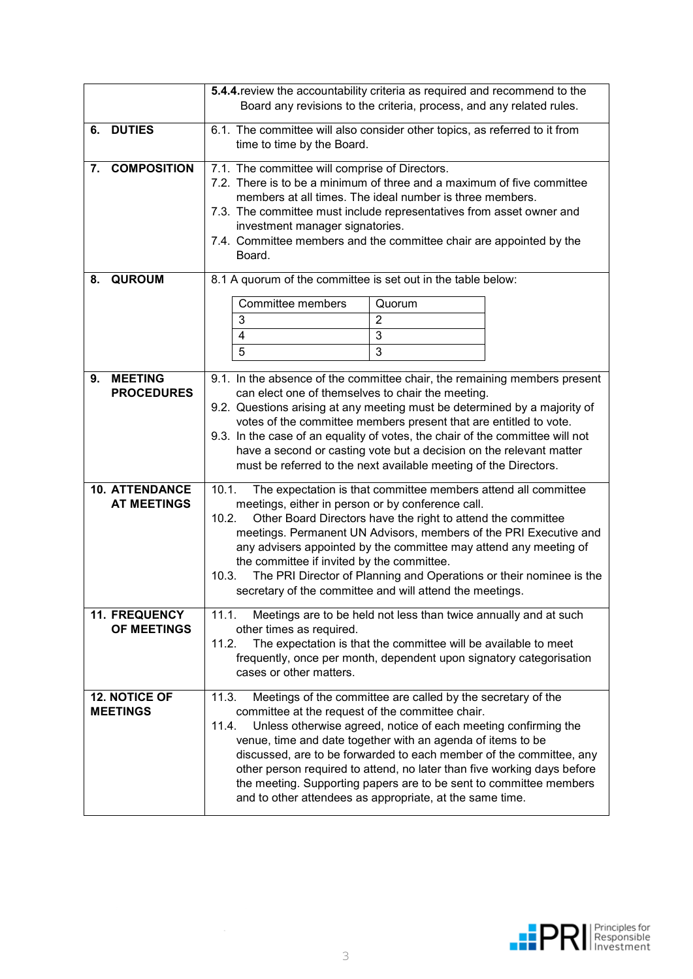|    |                                             | 5.4.4. review the accountability criteria as required and recommend to the<br>Board any revisions to the criteria, process, and any related rules.                                                                                                                                                                                                                                                                                                                                                                                                      |
|----|---------------------------------------------|---------------------------------------------------------------------------------------------------------------------------------------------------------------------------------------------------------------------------------------------------------------------------------------------------------------------------------------------------------------------------------------------------------------------------------------------------------------------------------------------------------------------------------------------------------|
| 6. | <b>DUTIES</b>                               | 6.1. The committee will also consider other topics, as referred to it from<br>time to time by the Board.                                                                                                                                                                                                                                                                                                                                                                                                                                                |
| 7. | <b>COMPOSITION</b>                          | 7.1. The committee will comprise of Directors.<br>7.2. There is to be a minimum of three and a maximum of five committee<br>members at all times. The ideal number is three members.<br>7.3. The committee must include representatives from asset owner and<br>investment manager signatories.<br>7.4. Committee members and the committee chair are appointed by the<br>Board.                                                                                                                                                                        |
| 8. | <b>QUROUM</b>                               | 8.1 A quorum of the committee is set out in the table below:<br>Committee members<br>Quorum<br>3<br>$\overline{2}$<br>3<br>4<br>5<br>3                                                                                                                                                                                                                                                                                                                                                                                                                  |
| 9. | <b>MEETING</b><br><b>PROCEDURES</b>         | 9.1. In the absence of the committee chair, the remaining members present<br>can elect one of themselves to chair the meeting.<br>9.2. Questions arising at any meeting must be determined by a majority of<br>votes of the committee members present that are entitled to vote.<br>9.3. In the case of an equality of votes, the chair of the committee will not<br>have a second or casting vote but a decision on the relevant matter<br>must be referred to the next available meeting of the Directors.                                            |
|    | <b>10. ATTENDANCE</b><br><b>AT MEETINGS</b> | 10.1.<br>The expectation is that committee members attend all committee<br>meetings, either in person or by conference call.<br>10.2.<br>Other Board Directors have the right to attend the committee<br>meetings. Permanent UN Advisors, members of the PRI Executive and<br>any advisers appointed by the committee may attend any meeting of<br>the committee if invited by the committee.<br>The PRI Director of Planning and Operations or their nominee is the<br>10.3.<br>secretary of the committee and will attend the meetings.               |
|    | 11. FREQUENCY<br>OF MEETINGS                | Meetings are to be held not less than twice annually and at such<br>11.1.<br>other times as required.<br>The expectation is that the committee will be available to meet<br>11.2.<br>frequently, once per month, dependent upon signatory categorisation<br>cases or other matters.                                                                                                                                                                                                                                                                     |
|    | <b>12. NOTICE OF</b><br><b>MEETINGS</b>     | 11.3.<br>Meetings of the committee are called by the secretary of the<br>committee at the request of the committee chair.<br>Unless otherwise agreed, notice of each meeting confirming the<br>11.4.<br>venue, time and date together with an agenda of items to be<br>discussed, are to be forwarded to each member of the committee, any<br>other person required to attend, no later than five working days before<br>the meeting. Supporting papers are to be sent to committee members<br>and to other attendees as appropriate, at the same time. |